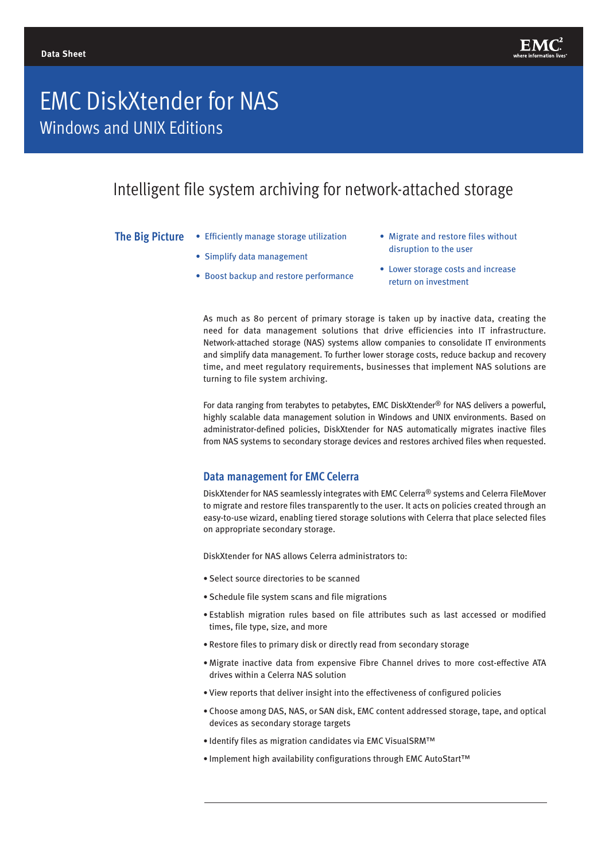

# EMC DiskXtender for NAS Windows and UNIX Editions

# Intelligent file system archiving for network-attached storage

**The Big Picture**

- Efficiently manage storage utilization
- Simplify data management
- Boost backup and restore performance
- Migrate and restore files without disruption to the user
- Lower storage costs and increase return on investment

As much as 80 percent of primary storage is taken up by inactive data, creating the need for data management solutions that drive efficiencies into IT infrastructure. Network-attached storage (NAS) systems allow companies to consolidate IT environments and simplify data management. To further lower storage costs, reduce backup and recovery time, and meet regulatory requirements, businesses that implement NAS solutions are turning to file system archiving.

For data ranging from terabytes to petabytes, EMC DiskXtender® for NAS delivers a powerful, highly scalable data management solution in Windows and UNIX environments. Based on administrator-defined policies, DiskXtender for NAS automatically migrates inactive files from NAS systems to secondary storage devices and restores archived files when requested.

# **Data management for EMC Celerra**

DiskXtender for NAS seamlessly integrates with EMC Celerra® systems and Celerra FileMover to migrate and restore files transparently to the user. It acts on policies created through an easy-to-use wizard, enabling tiered storage solutions with Celerra that place selected files on appropriate secondary storage.

DiskXtender for NAS allows Celerra administrators to:

- Select source directories to be scanned
- Schedule file system scans and file migrations
- Establish migration rules based on file attributes such as last accessed or modified times, file type, size, and more
- Restore files to primary disk or directly read from secondary storage
- Migrate inactive data from expensive Fibre Channel drives to more cost-effective ATA drives within a Celerra NAS solution
- View reports that deliver insight into the effectiveness of configured policies
- Choose among DAS, NAS, or SAN disk, EMC content addressed storage, tape, and optical devices as secondary storage targets
- Identify files as migration candidates via EMC VisualSRM™
- Implement high availability configurations through EMC AutoStart™